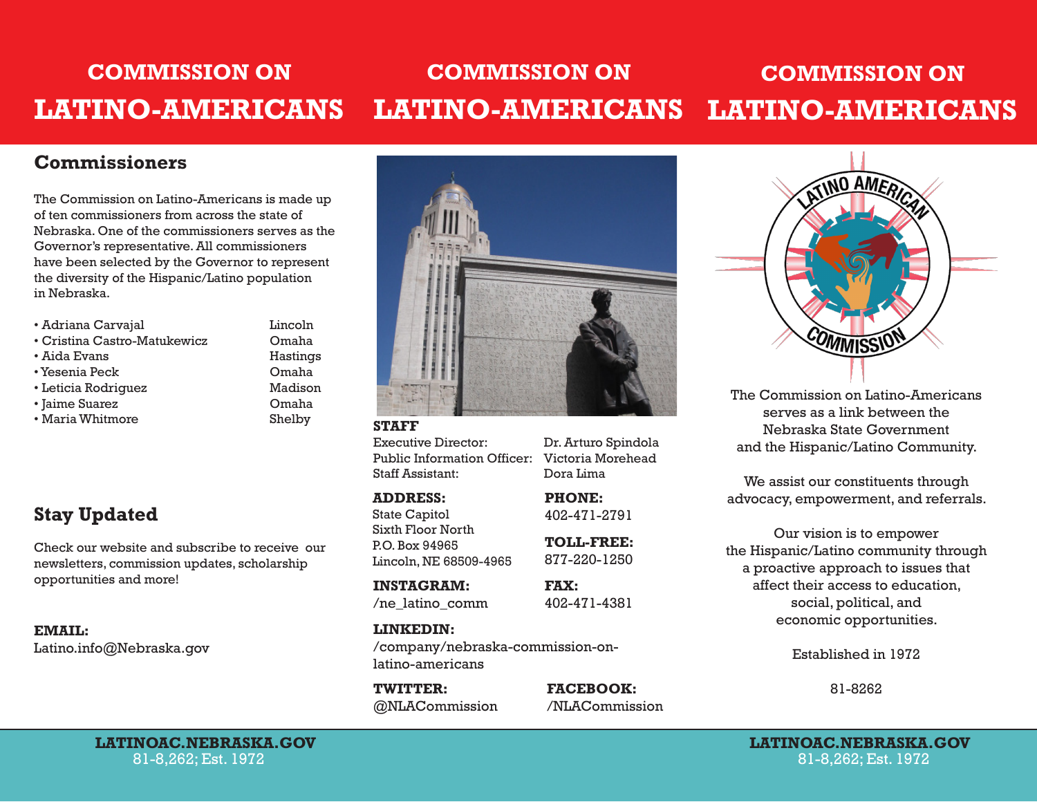#### **COMMISSION ON LATINO-AMERICANS COMMISSION ON LATINO-AMERICANS COMMISSION ON LATINO-AMERICANS**

#### **Commissioners**

The Commission on Latino-Americans is made up of ten commissioners from across the state of Nebraska. One of the commissioners serves as the Governor's representative. All commissioners have been selected by the Governor to represent the diversity of the Hispanic/Latino population in Nebraska.

- Adriana Carvajal Lincoln
- Cristina Castro-Matukewicz Omaha
- Aida Evans **Hastings**
- Yesenia Peck Omaha
- Leticia Rodriguez Madison
- Jaime Suarez Omaha
- Maria Whitmore Shelby

### **Stay Updated**

Check our website and subscribe to receive our newsletters, commission updates, scholarship opportunities and more! **INSTAGRAM:**

**EMAIL:** Latino.info@Nebraska.gov



#### **STAFF**

Executive Director: Dr. Arturo Spindola Public Information Officer: Victoria Morehead Staff Assistant: Dora Lima

#### **ADDRESS:**

State Capitol Sixth Floor North P.O. Box 94965 Lincoln, NE 68509-4965 **PHONE:** 402-471-2791

**TOLL-FREE:** 877-220-1250

/ne\_latino\_comm

#### **LINKEDIN:**

/company/nebraska-commission-onlatino-americans

**TWITTER: FACEBOOK:** @NLACommission /NLACommission



The Commission on Latino-Americans serves as a link between the Nebraska State Government and the Hispanic/Latino Community.

We assist our constituents through advocacy, empowerment, and referrals.

Our vision is to empower the Hispanic/Latino community through a proactive approach to issues that affect their access to education, social, political, and economic opportunities.

Established in 1972

81-8262

81-8,262; Est. 1972

**LATINOAC.NEBRASKA.GOV LATINOAC.NEBRASKA.GOV** 81-8,262; Est. 1972

**FAX:**

402-471-4381